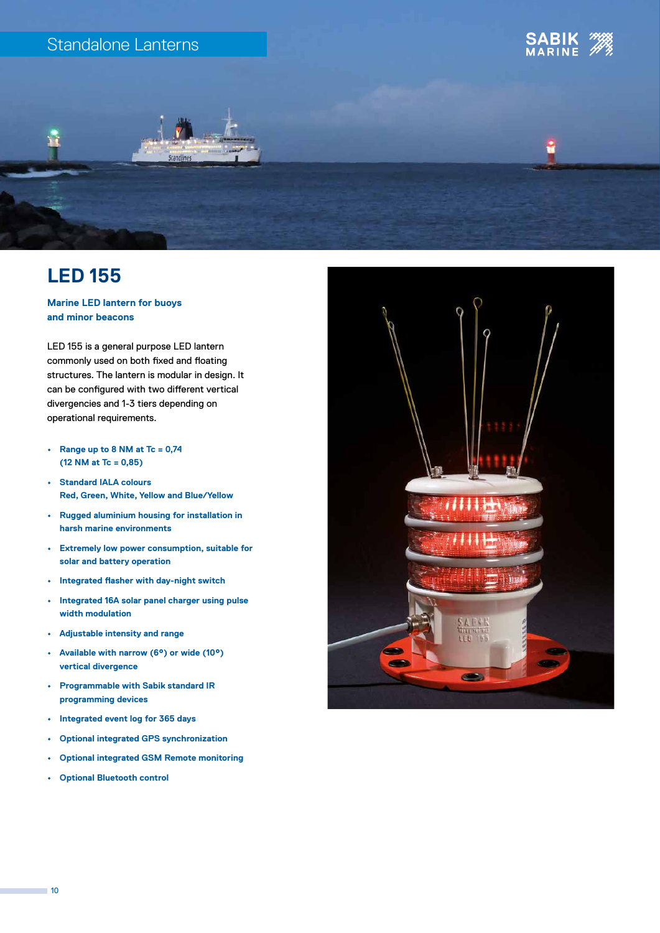### Standalone Lanterns





## **LED 155**

**Marine LED lantern for buoys and minor beacons**

LED 155 is a general purpose LED lantern commonly used on both fixed and floating structures. The lantern is modular in design. It can be configured with two different vertical divergencies and 1-3 tiers depending on operational requirements.

- **• Range up to 8 NM at Tc = 0,74 (12 NM at Tc = 0,85)**
- **• Standard IALA colours Red, Green, White, Yellow and Blue/Yellow**
- **• Rugged aluminium housing for installation in harsh marine environments**
- **• Extremely low power consumption, suitable for solar and battery operation**
- **• Integrated flasher with day-night switch**
- **• Integrated 16A solar panel charger using pulse width modulation**
- **• Adjustable intensity and range**
- **• Available with narrow (6°) or wide (10°) vertical divergence**
- **• Programmable with Sabik standard IR programming devices**
- **• Integrated event log for 365 days**
- **• Optional integrated GPS synchronization**
- **• Optional integrated GSM Remote monitoring**
- **• Optional Bluetooth control**